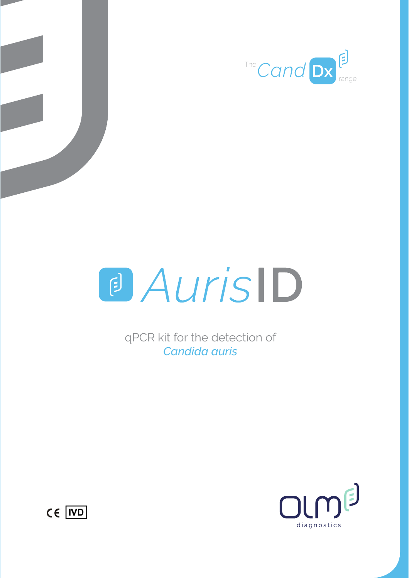





qPCR kit for the detection of *Candida auris*



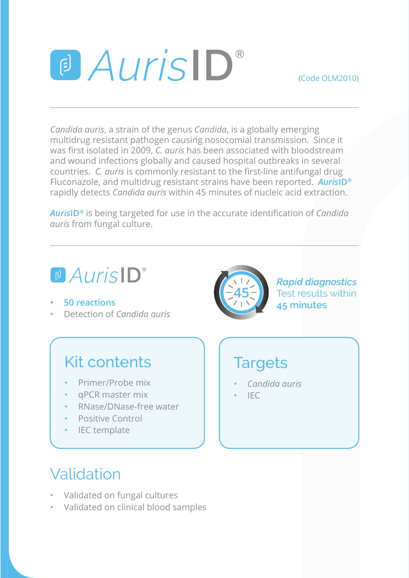## a Auris ID®

(Code OLM2010)

*Candida auris*, a strain of the genus *Candida*, is a globally emerging multidrug resistant pathogen causing nosocomial transmission. Since it was first isolated in 2009. C. *guris* has been associated with bloodstream and wound infections globally and caused hospital outbreaks in several countries. *C. auris* is commonly resistant to the first-line antifungal drug Fluconazole, and multidrug resistant strains have been reported. *Auris***ID®** rapidly detects *Candida auris* within 45 minutes of nucleic acid extraction.

*AurisID®* is being targeted for use in the accurate identification of *Candida auris* from fungal culture.

## a Auris<sup>ID</sup>

- **• 50 reactions**
- Detection of *Candida auris*

#### Kit contents

- Primer/Probe mix
- qPCR master mix
- RNase/DNase-free water
- Positive Control
- IEC template

# **45**

*Rapid diagnostics* Test results within **45 minutes**

### **Targets**

- *• Candida auris*
- $IFC$

#### Validation

- Validated on fungal cultures
- Validated on clinical blood samples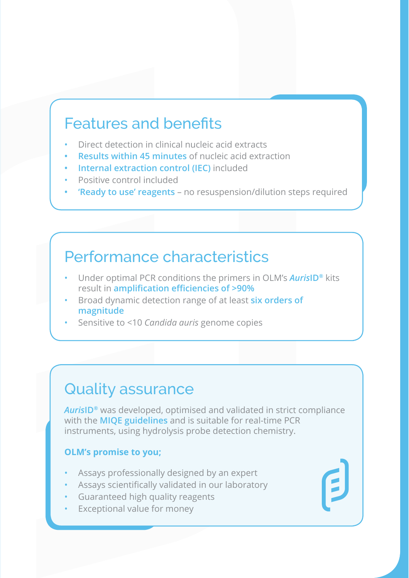#### Features and benefits

- Direct detection in clinical nucleic acid extracts
- **• Results within 45 minutes** of nucleic acid extraction
- **• Internal extraction control (IEC)** included
- Positive control included
- **• 'Ready to use' reagents** no resuspension/dilution steps required

#### Performance characteristics

- Under optimal PCR conditions the primers in OLM's *Auris***ID®** kits result in **amplification efficiencies of >90%**
- **Broad dynamic detection range of at least six orders of magnitude**
- Sensitive to <10 *Candida auris* genome copies

#### Quality assurance

*Auris***ID®** was developed, optimised and validated in strict compliance with the **MIQE guidelines** and is suitable for real-time PCR instruments, using hydrolysis probe detection chemistry.

#### **OLM's promise to you;**

- Assays professionally designed by an expert
- Assays scientifically validated in our laboratory
- Guaranteed high quality reagents
- Exceptional value for money